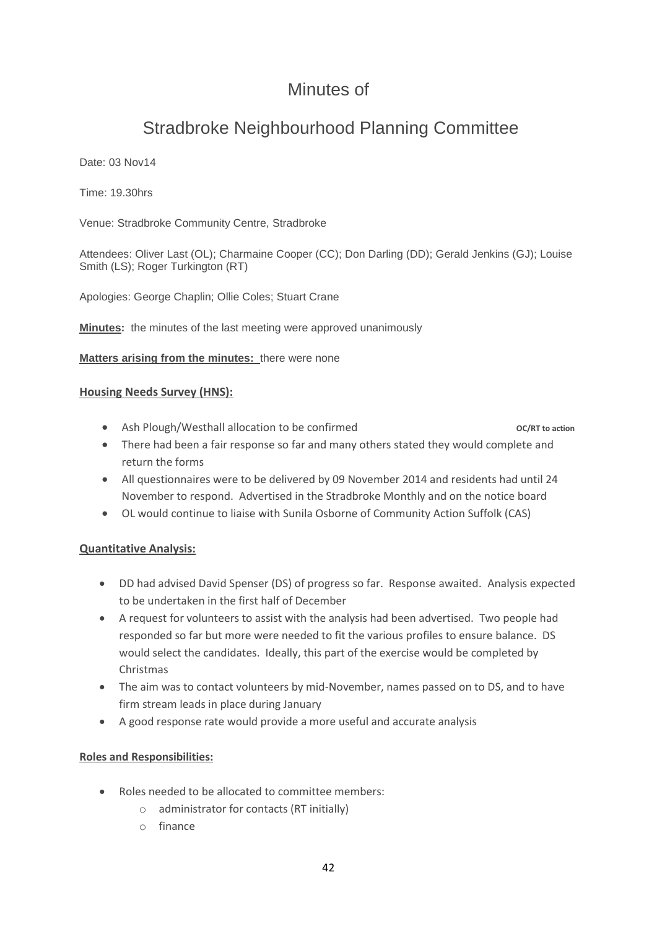## Minutes of

# Stradbroke Neighbourhood Planning Committee

Date: 03 Nov14

Time: 19.30hrs

Venue: Stradbroke Community Centre, Stradbroke

Attendees: Oliver Last (OL); Charmaine Cooper (CC); Don Darling (DD); Gerald Jenkins (GJ); Louise Smith (LS); Roger Turkington (RT)

Apologies: George Chaplin; Ollie Coles; Stuart Crane

**Minutes:** the minutes of the last meeting were approved unanimously

**Matters arising from the minutes:** there were none

#### **Housing Needs Survey (HNS):**

• Ash Plough/Westhall allocation to be confirmed **OC/RT** to action

- There had been a fair response so far and many others stated they would complete and return the forms
- All questionnaires were to be delivered by 09 November 2014 and residents had until 24 November to respond. Advertised in the Stradbroke Monthly and on the notice board
- OL would continue to liaise with Sunila Osborne of Community Action Suffolk (CAS)

## **Quantitative Analysis:**

- DD had advised David Spenser (DS) of progress so far. Response awaited. Analysis expected to be undertaken in the first half of December
- A request for volunteers to assist with the analysis had been advertised. Two people had responded so far but more were needed to fit the various profiles to ensure balance. DS would select the candidates. Ideally, this part of the exercise would be completed by Christmas
- The aim was to contact volunteers by mid-November, names passed on to DS, and to have firm stream leads in place during January
- A good response rate would provide a more useful and accurate analysis

#### **Roles and Responsibilities:**

- Roles needed to be allocated to committee members:
	- o administrator for contacts (RT initially)
	- o finance